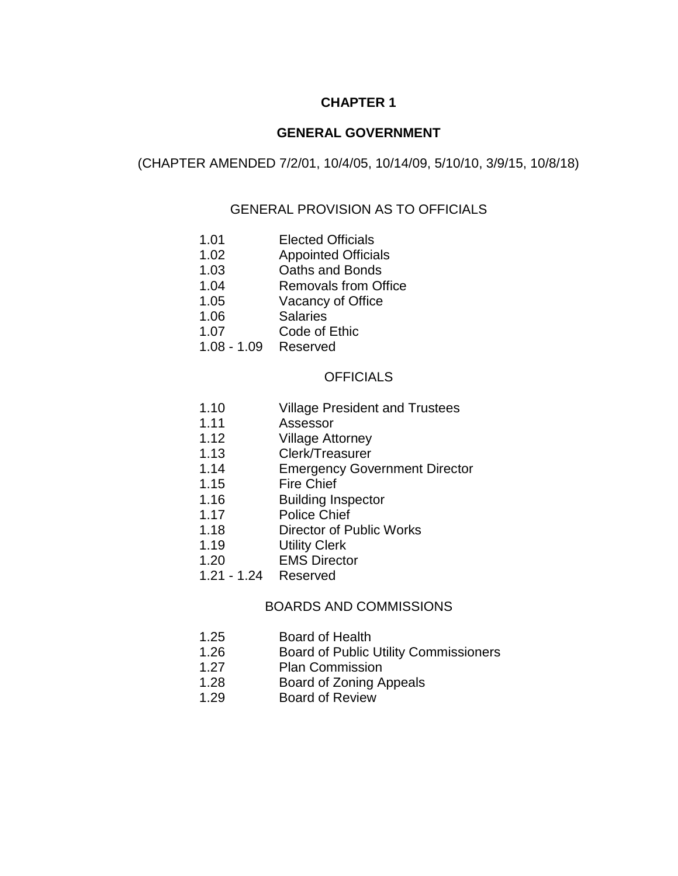# **CHAPTER 1**

## **GENERAL GOVERNMENT**

(CHAPTER AMENDED 7/2/01, 10/4/05, 10/14/09, 5/10/10, 3/9/15, 10/8/18)

# GENERAL PROVISION AS TO OFFICIALS

- 1.01 Elected Officials
- 1.02 Appointed Officials
- 1.03 Oaths and Bonds
- 1.04 Removals from Office
- 1.05 Vacancy of Office
- 1.06 Salaries
- 1.07 Code of Ethic
- 1.08 1.09 Reserved

## **OFFICIALS**

- 1.10 Village President and Trustees
- 1.11 Assessor
- 1.12 Village Attorney
- 1.13 Clerk/Treasurer
- 1.14 Emergency Government Director
- 1.15 Fire Chief
- 1.16 Building Inspector
- 1.17 Police Chief
- 1.18 Director of Public Works
- 1.19 Utility Clerk
- 1.20 EMS Director
- 1.21 1.24 Reserved

## BOARDS AND COMMISSIONS

- 1.25 Board of Health
- 1.26 Board of Public Utility Commissioners
- 1.27 Plan Commission
- 1.28 Board of Zoning Appeals
- 1.29 Board of Review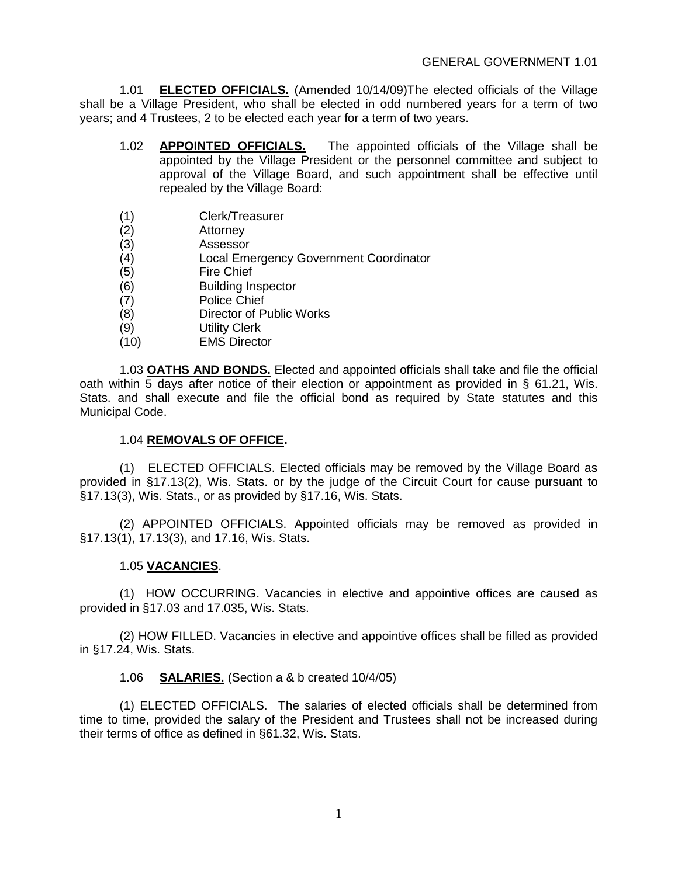1.01 **ELECTED OFFICIALS.** (Amended 10/14/09)The elected officials of the Village shall be a Village President, who shall be elected in odd numbered years for a term of two years; and 4 Trustees, 2 to be elected each year for a term of two years.

- 1.02 **APPOINTED OFFICIALS.** The appointed officials of the Village shall be appointed by the Village President or the personnel committee and subject to approval of the Village Board, and such appointment shall be effective until repealed by the Village Board:
- (1) Clerk/Treasurer
- (2) Attorney
- (3) Assessor
- (4) Local Emergency Government Coordinator
- (5) Fire Chief
- (6) Building Inspector
- (7) Police Chief
- (8) Director of Public Works
- (9) Utility Clerk
- (10) EMS Director

1.03 **OATHS AND BONDS.** Elected and appointed officials shall take and file the official oath within 5 days after notice of their election or appointment as provided in § 61.21, Wis. Stats. and shall execute and file the official bond as required by State statutes and this Municipal Code.

### 1.04 **REMOVALS OF OFFICE.**

(1) ELECTED OFFICIALS. Elected officials may be removed by the Village Board as provided in §17.13(2), Wis. Stats. or by the judge of the Circuit Court for cause pursuant to §17.13(3), Wis. Stats., or as provided by §17.16, Wis. Stats.

(2) APPOINTED OFFICIALS. Appointed officials may be removed as provided in §17.13(1), 17.13(3), and 17.16, Wis. Stats.

### 1.05 **VACANCIES**.

(1) HOW OCCURRING. Vacancies in elective and appointive offices are caused as provided in §17.03 and 17.035, Wis. Stats.

(2) HOW FILLED. Vacancies in elective and appointive offices shall be filled as provided in §17.24, Wis. Stats.

1.06 **SALARIES.** (Section a & b created 10/4/05)

(1) ELECTED OFFICIALS. The salaries of elected officials shall be determined from time to time, provided the salary of the President and Trustees shall not be increased during their terms of office as defined in §61.32, Wis. Stats.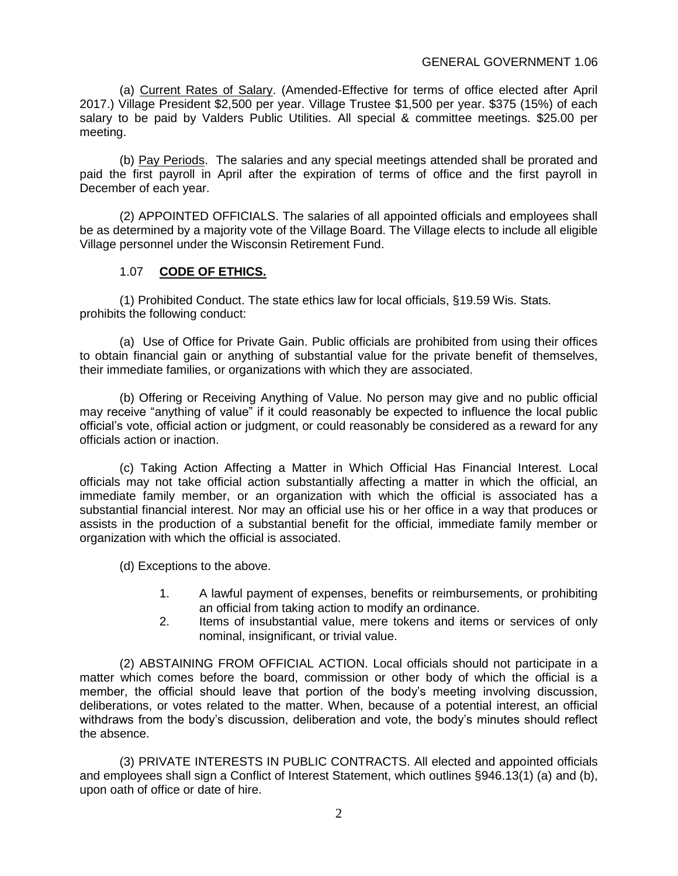(a) Current Rates of Salary. (Amended-Effective for terms of office elected after April 2017.) Village President \$2,500 per year. Village Trustee \$1,500 per year. \$375 (15%) of each salary to be paid by Valders Public Utilities. All special & committee meetings. \$25.00 per meeting.

(b) Pay Periods. The salaries and any special meetings attended shall be prorated and paid the first payroll in April after the expiration of terms of office and the first payroll in December of each year.

(2) APPOINTED OFFICIALS. The salaries of all appointed officials and employees shall be as determined by a majority vote of the Village Board. The Village elects to include all eligible Village personnel under the Wisconsin Retirement Fund.

## 1.07 **CODE OF ETHICS.**

(1) Prohibited Conduct. The state ethics law for local officials, §19.59 Wis. Stats. prohibits the following conduct:

(a) Use of Office for Private Gain. Public officials are prohibited from using their offices to obtain financial gain or anything of substantial value for the private benefit of themselves, their immediate families, or organizations with which they are associated.

(b) Offering or Receiving Anything of Value. No person may give and no public official may receive "anything of value" if it could reasonably be expected to influence the local public official's vote, official action or judgment, or could reasonably be considered as a reward for any officials action or inaction.

(c) Taking Action Affecting a Matter in Which Official Has Financial Interest. Local officials may not take official action substantially affecting a matter in which the official, an immediate family member, or an organization with which the official is associated has a substantial financial interest. Nor may an official use his or her office in a way that produces or assists in the production of a substantial benefit for the official, immediate family member or organization with which the official is associated.

(d) Exceptions to the above.

- 1. A lawful payment of expenses, benefits or reimbursements, or prohibiting an official from taking action to modify an ordinance.
- 2. Items of insubstantial value, mere tokens and items or services of only nominal, insignificant, or trivial value.

(2) ABSTAINING FROM OFFICIAL ACTION. Local officials should not participate in a matter which comes before the board, commission or other body of which the official is a member, the official should leave that portion of the body's meeting involving discussion, deliberations, or votes related to the matter. When, because of a potential interest, an official withdraws from the body's discussion, deliberation and vote, the body's minutes should reflect the absence.

(3) PRIVATE INTERESTS IN PUBLIC CONTRACTS. All elected and appointed officials and employees shall sign a Conflict of Interest Statement, which outlines §946.13(1) (a) and (b), upon oath of office or date of hire.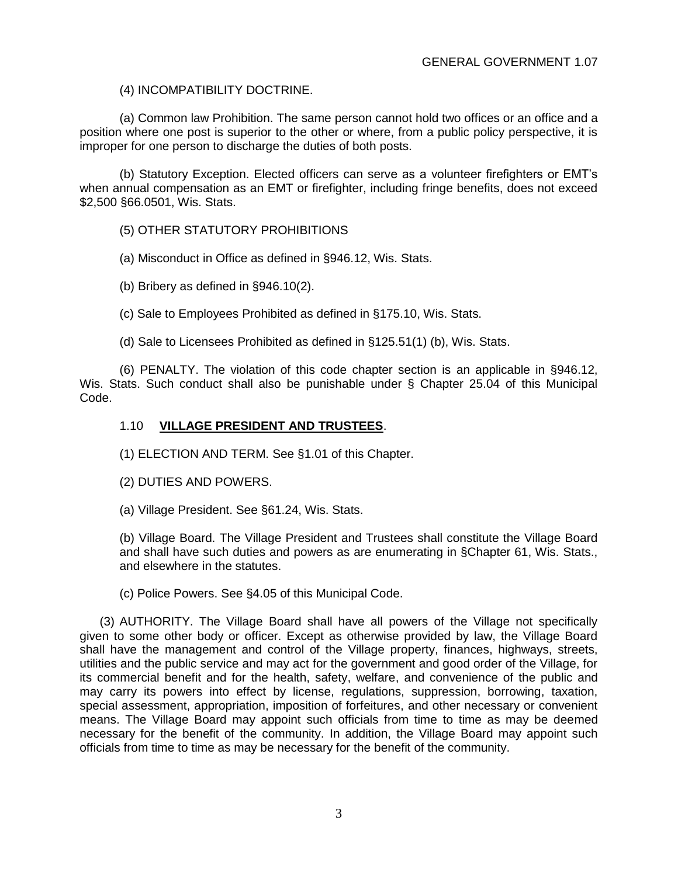### (4) INCOMPATIBILITY DOCTRINE.

(a) Common law Prohibition. The same person cannot hold two offices or an office and a position where one post is superior to the other or where, from a public policy perspective, it is improper for one person to discharge the duties of both posts.

(b) Statutory Exception. Elected officers can serve as a volunteer firefighters or EMT's when annual compensation as an EMT or firefighter, including fringe benefits, does not exceed \$2,500 §66.0501, Wis. Stats.

### (5) OTHER STATUTORY PROHIBITIONS

(a) Misconduct in Office as defined in §946.12, Wis. Stats.

(b) Bribery as defined in §946.10(2).

(c) Sale to Employees Prohibited as defined in §175.10, Wis. Stats.

(d) Sale to Licensees Prohibited as defined in §125.51(1) (b), Wis. Stats.

(6) PENALTY. The violation of this code chapter section is an applicable in §946.12, Wis. Stats. Such conduct shall also be punishable under § Chapter 25.04 of this Municipal Code.

### 1.10 **VILLAGE PRESIDENT AND TRUSTEES**.

(1) ELECTION AND TERM. See §1.01 of this Chapter.

(2) DUTIES AND POWERS.

(a) Village President. See §61.24, Wis. Stats.

(b) Village Board. The Village President and Trustees shall constitute the Village Board and shall have such duties and powers as are enumerating in §Chapter 61, Wis. Stats., and elsewhere in the statutes.

(c) Police Powers. See §4.05 of this Municipal Code.

(3) AUTHORITY. The Village Board shall have all powers of the Village not specifically given to some other body or officer. Except as otherwise provided by law, the Village Board shall have the management and control of the Village property, finances, highways, streets, utilities and the public service and may act for the government and good order of the Village, for its commercial benefit and for the health, safety, welfare, and convenience of the public and may carry its powers into effect by license, regulations, suppression, borrowing, taxation, special assessment, appropriation, imposition of forfeitures, and other necessary or convenient means. The Village Board may appoint such officials from time to time as may be deemed necessary for the benefit of the community. In addition, the Village Board may appoint such officials from time to time as may be necessary for the benefit of the community.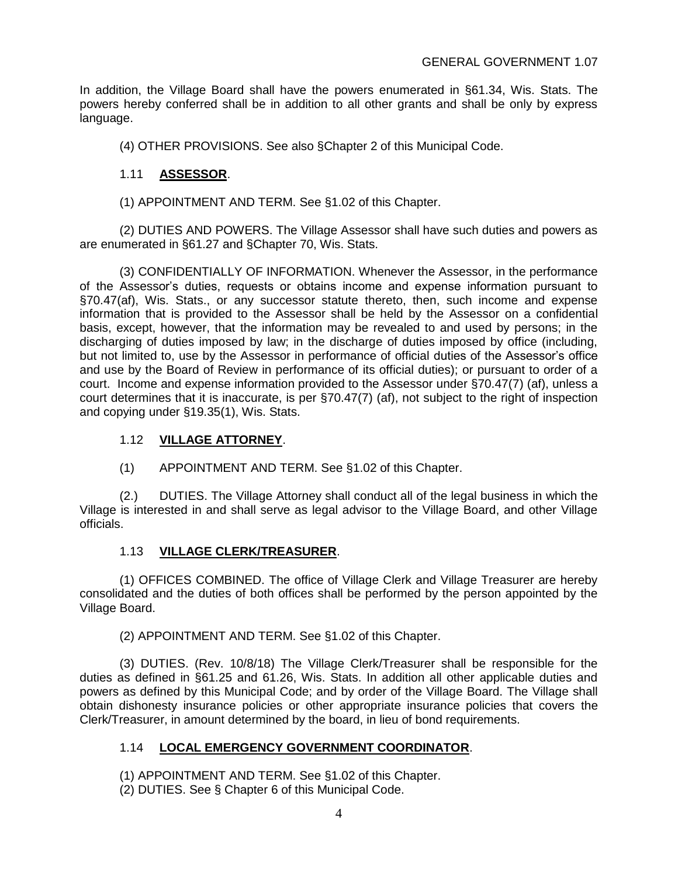In addition, the Village Board shall have the powers enumerated in §61.34, Wis. Stats. The powers hereby conferred shall be in addition to all other grants and shall be only by express language.

(4) OTHER PROVISIONS. See also §Chapter 2 of this Municipal Code.

### 1.11 **ASSESSOR**.

(1) APPOINTMENT AND TERM. See §1.02 of this Chapter.

(2) DUTIES AND POWERS. The Village Assessor shall have such duties and powers as are enumerated in §61.27 and §Chapter 70, Wis. Stats.

(3) CONFIDENTIALLY OF INFORMATION. Whenever the Assessor, in the performance of the Assessor's duties, requests or obtains income and expense information pursuant to §70.47(af), Wis. Stats., or any successor statute thereto, then, such income and expense information that is provided to the Assessor shall be held by the Assessor on a confidential basis, except, however, that the information may be revealed to and used by persons; in the discharging of duties imposed by law; in the discharge of duties imposed by office (including, but not limited to, use by the Assessor in performance of official duties of the Assessor's office and use by the Board of Review in performance of its official duties); or pursuant to order of a court. Income and expense information provided to the Assessor under §70.47(7) (af), unless a court determines that it is inaccurate, is per §70.47(7) (af), not subject to the right of inspection and copying under §19.35(1), Wis. Stats.

### 1.12 **VILLAGE ATTORNEY**.

(1) APPOINTMENT AND TERM. See §1.02 of this Chapter.

(2.) DUTIES. The Village Attorney shall conduct all of the legal business in which the Village is interested in and shall serve as legal advisor to the Village Board, and other Village officials.

### 1.13 **VILLAGE CLERK/TREASURER**.

(1) OFFICES COMBINED. The office of Village Clerk and Village Treasurer are hereby consolidated and the duties of both offices shall be performed by the person appointed by the Village Board.

(2) APPOINTMENT AND TERM. See §1.02 of this Chapter.

(3) DUTIES. (Rev. 10/8/18) The Village Clerk/Treasurer shall be responsible for the duties as defined in §61.25 and 61.26, Wis. Stats. In addition all other applicable duties and powers as defined by this Municipal Code; and by order of the Village Board. The Village shall obtain dishonesty insurance policies or other appropriate insurance policies that covers the Clerk/Treasurer, in amount determined by the board, in lieu of bond requirements.

## 1.14 **LOCAL EMERGENCY GOVERNMENT COORDINATOR**.

(1) APPOINTMENT AND TERM. See §1.02 of this Chapter.

(2) DUTIES. See § Chapter 6 of this Municipal Code.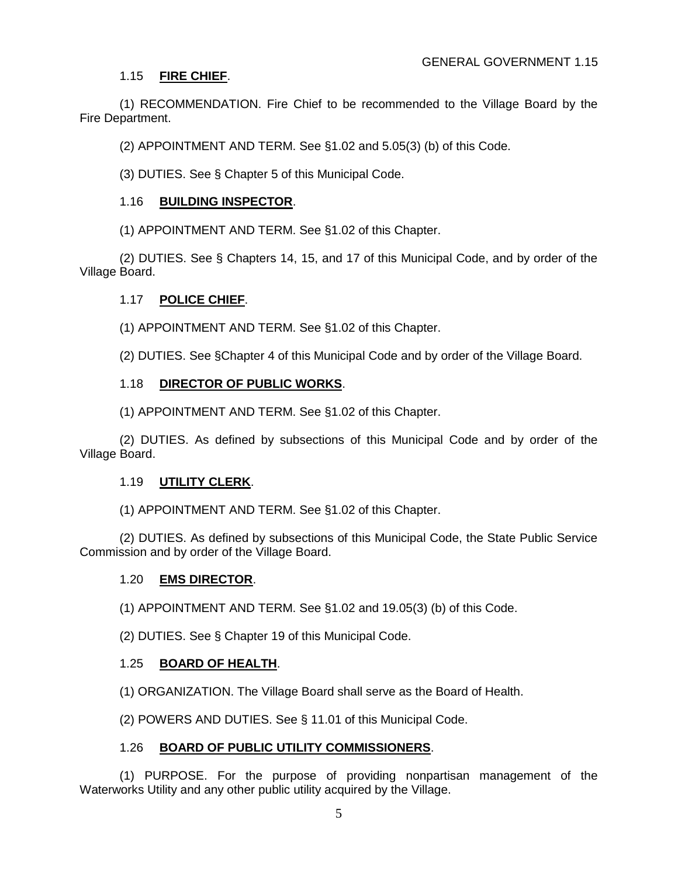### 1.15 **FIRE CHIEF**.

(1) RECOMMENDATION. Fire Chief to be recommended to the Village Board by the Fire Department.

(2) APPOINTMENT AND TERM. See §1.02 and 5.05(3) (b) of this Code.

(3) DUTIES. See § Chapter 5 of this Municipal Code.

#### 1.16 **BUILDING INSPECTOR**.

(1) APPOINTMENT AND TERM. See §1.02 of this Chapter.

(2) DUTIES. See § Chapters 14, 15, and 17 of this Municipal Code, and by order of the Village Board.

### 1.17 **POLICE CHIEF**.

(1) APPOINTMENT AND TERM. See §1.02 of this Chapter.

(2) DUTIES. See §Chapter 4 of this Municipal Code and by order of the Village Board.

#### 1.18 **DIRECTOR OF PUBLIC WORKS**.

(1) APPOINTMENT AND TERM. See §1.02 of this Chapter.

(2) DUTIES. As defined by subsections of this Municipal Code and by order of the Village Board.

### 1.19 **UTILITY CLERK**.

(1) APPOINTMENT AND TERM. See §1.02 of this Chapter.

(2) DUTIES. As defined by subsections of this Municipal Code, the State Public Service Commission and by order of the Village Board.

#### 1.20 **EMS DIRECTOR**.

(1) APPOINTMENT AND TERM. See §1.02 and 19.05(3) (b) of this Code.

(2) DUTIES. See § Chapter 19 of this Municipal Code.

### 1.25 **BOARD OF HEALTH**.

(1) ORGANIZATION. The Village Board shall serve as the Board of Health.

(2) POWERS AND DUTIES. See § 11.01 of this Municipal Code.

### 1.26 **BOARD OF PUBLIC UTILITY COMMISSIONERS**.

(1) PURPOSE. For the purpose of providing nonpartisan management of the Waterworks Utility and any other public utility acquired by the Village.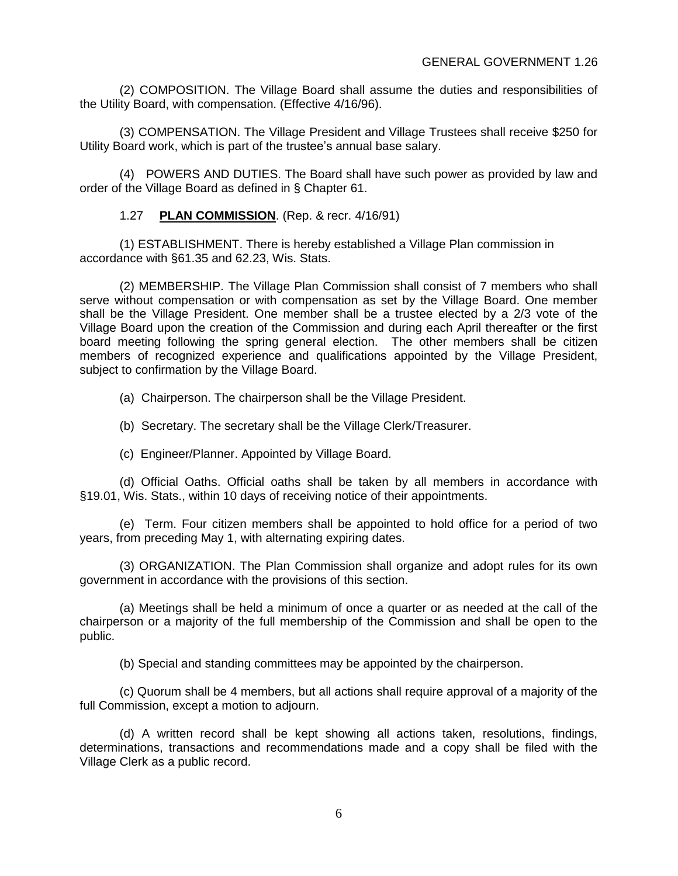(2) COMPOSITION. The Village Board shall assume the duties and responsibilities of the Utility Board, with compensation. (Effective 4/16/96).

(3) COMPENSATION. The Village President and Village Trustees shall receive \$250 for Utility Board work, which is part of the trustee's annual base salary.

(4) POWERS AND DUTIES. The Board shall have such power as provided by law and order of the Village Board as defined in § Chapter 61.

### 1.27 **PLAN COMMISSION**. (Rep. & recr. 4/16/91)

(1) ESTABLISHMENT. There is hereby established a Village Plan commission in accordance with §61.35 and 62.23, Wis. Stats.

(2) MEMBERSHIP. The Village Plan Commission shall consist of 7 members who shall serve without compensation or with compensation as set by the Village Board. One member shall be the Village President. One member shall be a trustee elected by a 2/3 vote of the Village Board upon the creation of the Commission and during each April thereafter or the first board meeting following the spring general election. The other members shall be citizen members of recognized experience and qualifications appointed by the Village President, subject to confirmation by the Village Board.

(a) Chairperson. The chairperson shall be the Village President.

(b) Secretary. The secretary shall be the Village Clerk/Treasurer.

(c) Engineer/Planner. Appointed by Village Board.

(d) Official Oaths. Official oaths shall be taken by all members in accordance with §19.01, Wis. Stats., within 10 days of receiving notice of their appointments.

(e) Term. Four citizen members shall be appointed to hold office for a period of two years, from preceding May 1, with alternating expiring dates.

(3) ORGANIZATION. The Plan Commission shall organize and adopt rules for its own government in accordance with the provisions of this section.

(a) Meetings shall be held a minimum of once a quarter or as needed at the call of the chairperson or a majority of the full membership of the Commission and shall be open to the public.

(b) Special and standing committees may be appointed by the chairperson.

(c) Quorum shall be 4 members, but all actions shall require approval of a majority of the full Commission, except a motion to adjourn.

(d) A written record shall be kept showing all actions taken, resolutions, findings, determinations, transactions and recommendations made and a copy shall be filed with the Village Clerk as a public record.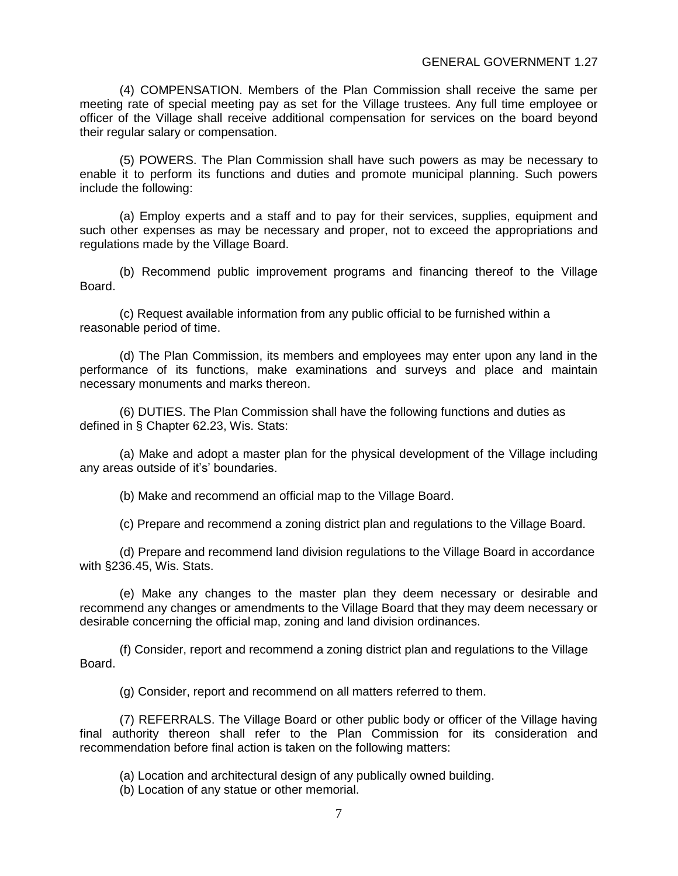(4) COMPENSATION. Members of the Plan Commission shall receive the same per meeting rate of special meeting pay as set for the Village trustees. Any full time employee or officer of the Village shall receive additional compensation for services on the board beyond their regular salary or compensation.

(5) POWERS. The Plan Commission shall have such powers as may be necessary to enable it to perform its functions and duties and promote municipal planning. Such powers include the following:

(a) Employ experts and a staff and to pay for their services, supplies, equipment and such other expenses as may be necessary and proper, not to exceed the appropriations and regulations made by the Village Board.

(b) Recommend public improvement programs and financing thereof to the Village Board.

(c) Request available information from any public official to be furnished within a reasonable period of time.

(d) The Plan Commission, its members and employees may enter upon any land in the performance of its functions, make examinations and surveys and place and maintain necessary monuments and marks thereon.

(6) DUTIES. The Plan Commission shall have the following functions and duties as defined in § Chapter 62.23, Wis. Stats:

(a) Make and adopt a master plan for the physical development of the Village including any areas outside of it's' boundaries.

(b) Make and recommend an official map to the Village Board.

(c) Prepare and recommend a zoning district plan and regulations to the Village Board.

(d) Prepare and recommend land division regulations to the Village Board in accordance with §236.45, Wis. Stats.

(e) Make any changes to the master plan they deem necessary or desirable and recommend any changes or amendments to the Village Board that they may deem necessary or desirable concerning the official map, zoning and land division ordinances.

(f) Consider, report and recommend a zoning district plan and regulations to the Village Board.

(g) Consider, report and recommend on all matters referred to them.

(7) REFERRALS. The Village Board or other public body or officer of the Village having final authority thereon shall refer to the Plan Commission for its consideration and recommendation before final action is taken on the following matters:

(a) Location and architectural design of any publically owned building.

(b) Location of any statue or other memorial.